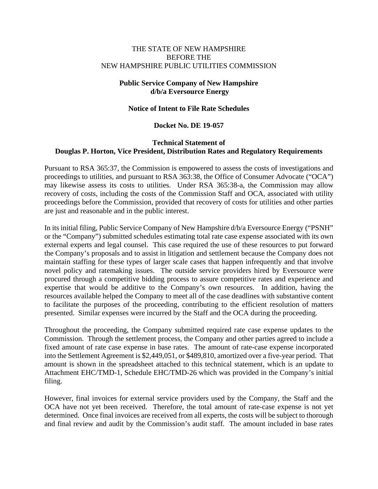## THE STATE OF NEW HAMPSHIRE BEFORE THE NEW HAMPSHIRE PUBLIC UTILITIES COMMISSION

# **Public Service Company of New Hampshire d/b/a Eversource Energy**

## **Notice of Intent to File Rate Schedules**

#### **Docket No. DE 19-057**

### **Technical Statement of Douglas P. Horton, Vice President, Distribution Rates and Regulatory Requirements**

Pursuant to RSA 365:37, the Commission is empowered to assess the costs of investigations and proceedings to utilities, and pursuant to RSA 363:38, the Office of Consumer Advocate ("OCA") may likewise assess its costs to utilities. Under RSA 365:38-a, the Commission may allow recovery of costs, including the costs of the Commission Staff and OCA, associated with utility proceedings before the Commission, provided that recovery of costs for utilities and other parties are just and reasonable and in the public interest.

In its initial filing, Public Service Company of New Hampshire d/b/a Eversource Energy ("PSNH" or the "Company") submitted schedules estimating total rate case expense associated with its own external experts and legal counsel. This case required the use of these resources to put forward the Company's proposals and to assist in litigation and settlement because the Company does not maintain staffing for these types of larger scale cases that happen infrequently and that involve novel policy and ratemaking issues. The outside service providers hired by Eversource were procured through a competitive bidding process to assure competitive rates and experience and expertise that would be additive to the Company's own resources. In addition, having the resources available helped the Company to meet all of the case deadlines with substantive content to facilitate the purposes of the proceeding, contributing to the efficient resolution of matters presented. Similar expenses were incurred by the Staff and the OCA during the proceeding.

Throughout the proceeding, the Company submitted required rate case expense updates to the Commission. Through the settlement process, the Company and other parties agreed to include a fixed amount of rate case expense in base rates. The amount of rate-case expense incorporated into the Settlement Agreement is \$2,449,051, or \$489,810, amortized over a five-year period. That amount is shown in the spreadsheet attached to this technical statement, which is an update to Attachment EHC/TMD-1, Schedule EHC/TMD-26 which was provided in the Company's initial filing.

However, final invoices for external service providers used by the Company, the Staff and the OCA have not yet been received. Therefore, the total amount of rate-case expense is not yet determined. Once final invoices are received from all experts, the costs will be subject to thorough and final review and audit by the Commission's audit staff. The amount included in base rates